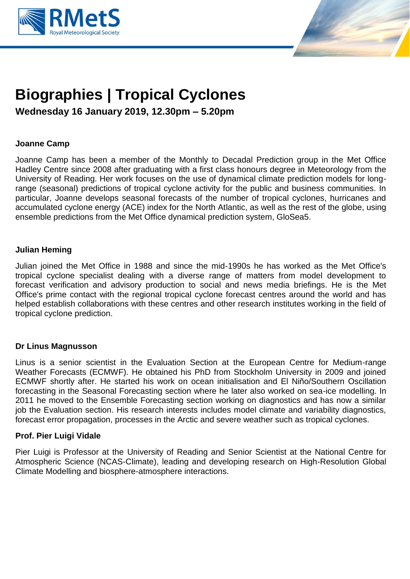



# **Biographies | Tropical Cyclones**

**Wednesday 16 January 2019, 12.30pm – 5.20pm**

# **Joanne Camp**

Joanne Camp has been a member of the Monthly to Decadal Prediction group in the Met Office Hadley Centre since 2008 after graduating with a first class honours degree in Meteorology from the University of Reading. Her work focuses on the use of dynamical climate prediction models for longrange (seasonal) predictions of tropical cyclone activity for the public and business communities. In particular, Joanne develops seasonal forecasts of the number of tropical cyclones, hurricanes and accumulated cyclone energy (ACE) index for the North Atlantic, as well as the rest of the globe, using ensemble predictions from the Met Office dynamical prediction system, GloSea5.

## **Julian Heming**

Julian joined the Met Office in 1988 and since the mid-1990s he has worked as the Met Office's tropical cyclone specialist dealing with a diverse range of matters from model development to forecast verification and advisory production to social and news media briefings. He is the Met Office's prime contact with the regional tropical cyclone forecast centres around the world and has helped establish collaborations with these centres and other research institutes working in the field of tropical cyclone prediction.

## **Dr Linus Magnusson**

Linus is a senior scientist in the Evaluation Section at the European Centre for Medium-range Weather Forecasts (ECMWF). He obtained his PhD from Stockholm University in 2009 and joined ECMWF shortly after. He started his work on ocean initialisation and El Niño/Southern Oscillation forecasting in the Seasonal Forecasting section where he later also worked on sea-ice modelling. In 2011 he moved to the Ensemble Forecasting section working on diagnostics and has now a similar job the Evaluation section. His research interests includes model climate and variability diagnostics, forecast error propagation, processes in the Arctic and severe weather such as tropical cyclones.

## **Prof. Pier Luigi Vidale**

Pier Luigi is Professor at the University of Reading and Senior Scientist at the National Centre for Atmospheric Science (NCAS-Climate), leading and developing research on High-Resolution Global Climate Modelling and biosphere-atmosphere interactions.